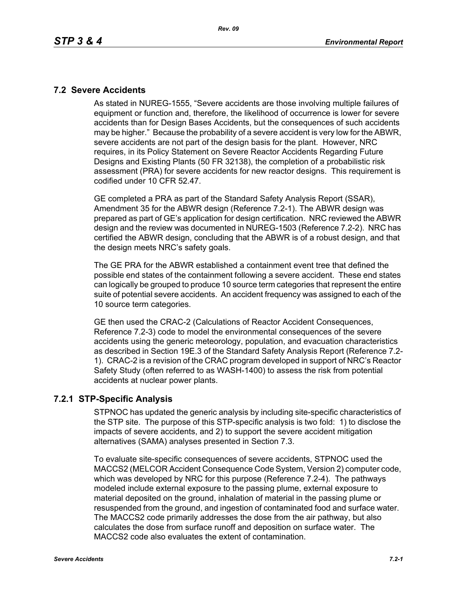#### **7.2 Severe Accidents**

As stated in NUREG-1555, "Severe accidents are those involving multiple failures of equipment or function and, therefore, the likelihood of occurrence is lower for severe accidents than for Design Bases Accidents, but the consequences of such accidents may be higher." Because the probability of a severe accident is very low for the ABWR, severe accidents are not part of the design basis for the plant. However, NRC requires, in its Policy Statement on Severe Reactor Accidents Regarding Future Designs and Existing Plants (50 FR 32138), the completion of a probabilistic risk assessment (PRA) for severe accidents for new reactor designs. This requirement is codified under 10 CFR 52.47.

GE completed a PRA as part of the Standard Safety Analysis Report (SSAR), Amendment 35 for the ABWR design (Reference 7.2-1). The ABWR design was prepared as part of GE's application for design certification. NRC reviewed the ABWR design and the review was documented in NUREG-1503 (Reference 7.2-2). NRC has certified the ABWR design, concluding that the ABWR is of a robust design, and that the design meets NRC's safety goals.

The GE PRA for the ABWR established a containment event tree that defined the possible end states of the containment following a severe accident. These end states can logically be grouped to produce 10 source term categories that represent the entire suite of potential severe accidents. An accident frequency was assigned to each of the 10 source term categories.

GE then used the CRAC-2 (Calculations of Reactor Accident Consequences, Reference 7.2-3) code to model the environmental consequences of the severe accidents using the generic meteorology, population, and evacuation characteristics as described in Section 19E.3 of the Standard Safety Analysis Report (Reference 7.2- 1). CRAC-2 is a revision of the CRAC program developed in support of NRC's Reactor Safety Study (often referred to as WASH-1400) to assess the risk from potential accidents at nuclear power plants.

## **7.2.1 STP-Specific Analysis**

STPNOC has updated the generic analysis by including site-specific characteristics of the STP site. The purpose of this STP-specific analysis is two fold: 1) to disclose the impacts of severe accidents, and 2) to support the severe accident mitigation alternatives (SAMA) analyses presented in Section 7.3.

To evaluate site-specific consequences of severe accidents, STPNOC used the MACCS2 (MELCOR Accident Consequence Code System, Version 2) computer code, which was developed by NRC for this purpose (Reference 7.2-4). The pathways modeled include external exposure to the passing plume, external exposure to material deposited on the ground, inhalation of material in the passing plume or resuspended from the ground, and ingestion of contaminated food and surface water. The MACCS2 code primarily addresses the dose from the air pathway, but also calculates the dose from surface runoff and deposition on surface water. The MACCS2 code also evaluates the extent of contamination.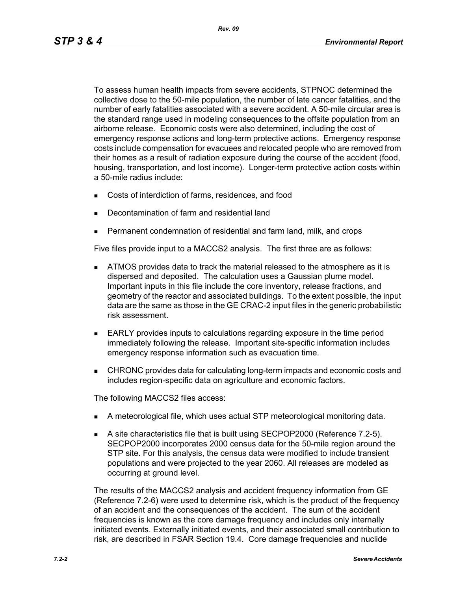To assess human health impacts from severe accidents, STPNOC determined the collective dose to the 50-mile population, the number of late cancer fatalities, and the number of early fatalities associated with a severe accident. A 50-mile circular area is the standard range used in modeling consequences to the offsite population from an airborne release. Economic costs were also determined, including the cost of emergency response actions and long-term protective actions. Emergency response costs include compensation for evacuees and relocated people who are removed from their homes as a result of radiation exposure during the course of the accident (food, housing, transportation, and lost income). Longer-term protective action costs within a 50-mile radius include:

- Costs of interdiction of farms, residences, and food
- Decontamination of farm and residential land
- Permanent condemnation of residential and farm land, milk, and crops

Five files provide input to a MACCS2 analysis. The first three are as follows:

- **ATMOS** provides data to track the material released to the atmosphere as it is dispersed and deposited. The calculation uses a Gaussian plume model. Important inputs in this file include the core inventory, release fractions, and geometry of the reactor and associated buildings. To the extent possible, the input data are the same as those in the GE CRAC-2 input files in the generic probabilistic risk assessment.
- EARLY provides inputs to calculations regarding exposure in the time period immediately following the release. Important site-specific information includes emergency response information such as evacuation time.
- CHRONC provides data for calculating long-term impacts and economic costs and includes region-specific data on agriculture and economic factors.

The following MACCS2 files access:

- A meteorological file, which uses actual STP meteorological monitoring data.
- A site characteristics file that is built using SECPOP2000 (Reference 7.2-5). SECPOP2000 incorporates 2000 census data for the 50-mile region around the STP site. For this analysis, the census data were modified to include transient populations and were projected to the year 2060. All releases are modeled as occurring at ground level.

The results of the MACCS2 analysis and accident frequency information from GE (Reference 7.2-6) were used to determine risk, which is the product of the frequency of an accident and the consequences of the accident. The sum of the accident frequencies is known as the core damage frequency and includes only internally initiated events. Externally initiated events, and their associated small contribution to risk, are described in FSAR Section 19.4. Core damage frequencies and nuclide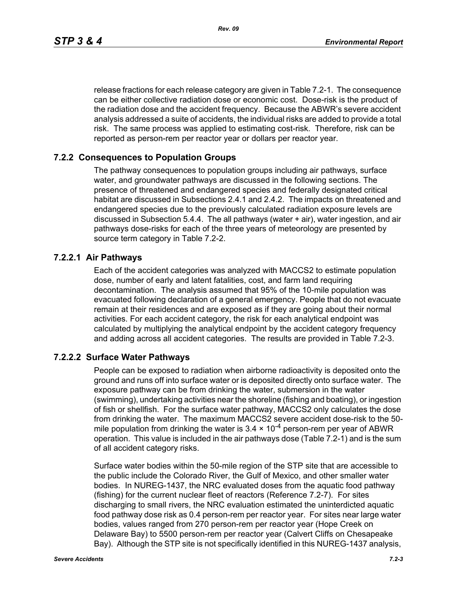*Rev. 09*

release fractions for each release category are given in Table 7.2-1. The consequence can be either collective radiation dose or economic cost. Dose-risk is the product of the radiation dose and the accident frequency. Because the ABWR's severe accident analysis addressed a suite of accidents, the individual risks are added to provide a total risk. The same process was applied to estimating cost-risk. Therefore, risk can be reported as person-rem per reactor year or dollars per reactor year.

#### **7.2.2 Consequences to Population Groups**

The pathway consequences to population groups including air pathways, surface water, and groundwater pathways are discussed in the following sections. The presence of threatened and endangered species and federally designated critical habitat are discussed in Subsections 2.4.1 and 2.4.2. The impacts on threatened and endangered species due to the previously calculated radiation exposure levels are discussed in Subsection 5.4.4. The all pathways (water + air), water ingestion, and air pathways dose-risks for each of the three years of meteorology are presented by source term category in Table 7.2-2.

#### **7.2.2.1 Air Pathways**

Each of the accident categories was analyzed with MACCS2 to estimate population dose, number of early and latent fatalities, cost, and farm land requiring decontamination. The analysis assumed that 95% of the 10-mile population was evacuated following declaration of a general emergency. People that do not evacuate remain at their residences and are exposed as if they are going about their normal activities. For each accident category, the risk for each analytical endpoint was calculated by multiplying the analytical endpoint by the accident category frequency and adding across all accident categories. The results are provided in Table 7.2-3.

## **7.2.2.2 Surface Water Pathways**

People can be exposed to radiation when airborne radioactivity is deposited onto the ground and runs off into surface water or is deposited directly onto surface water. The exposure pathway can be from drinking the water, submersion in the water (swimming), undertaking activities near the shoreline (fishing and boating), or ingestion of fish or shellfish. For the surface water pathway, MACCS2 only calculates the dose from drinking the water. The maximum MACCS2 severe accident dose-risk to the 50 mile population from drinking the water is  $3.4 \times 10^{-4}$  person-rem per year of ABWR operation. This value is included in the air pathways dose (Table 7.2-1) and is the sum of all accident category risks.

Surface water bodies within the 50-mile region of the STP site that are accessible to the public include the Colorado River, the Gulf of Mexico, and other smaller water bodies. In NUREG-1437, the NRC evaluated doses from the aquatic food pathway (fishing) for the current nuclear fleet of reactors (Reference 7.2-7). For sites discharging to small rivers, the NRC evaluation estimated the uninterdicted aquatic food pathway dose risk as 0.4 person-rem per reactor year. For sites near large water bodies, values ranged from 270 person-rem per reactor year (Hope Creek on Delaware Bay) to 5500 person-rem per reactor year (Calvert Cliffs on Chesapeake Bay). Although the STP site is not specifically identified in this NUREG-1437 analysis,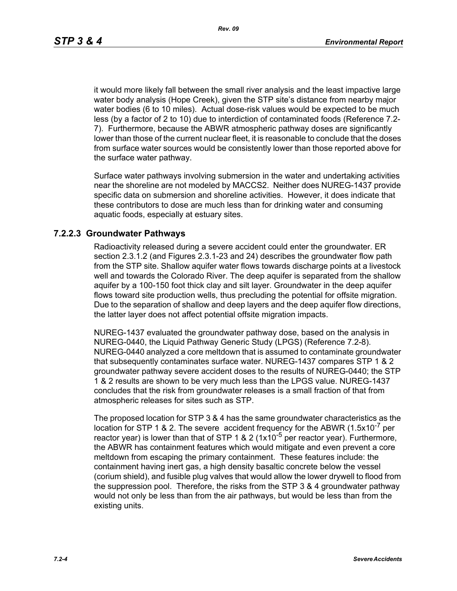it would more likely fall between the small river analysis and the least impactive large water body analysis (Hope Creek), given the STP site's distance from nearby major water bodies (6 to 10 miles). Actual dose-risk values would be expected to be much less (by a factor of 2 to 10) due to interdiction of contaminated foods (Reference 7.2- 7). Furthermore, because the ABWR atmospheric pathway doses are significantly lower than those of the current nuclear fleet, it is reasonable to conclude that the doses from surface water sources would be consistently lower than those reported above for the surface water pathway.

Surface water pathways involving submersion in the water and undertaking activities near the shoreline are not modeled by MACCS2. Neither does NUREG-1437 provide specific data on submersion and shoreline activities. However, it does indicate that these contributors to dose are much less than for drinking water and consuming aquatic foods, especially at estuary sites.

#### **7.2.2.3 Groundwater Pathways**

Radioactivity released during a severe accident could enter the groundwater. ER section 2.3.1.2 (and Figures 2.3.1-23 and 24) describes the groundwater flow path from the STP site. Shallow aquifer water flows towards discharge points at a livestock well and towards the Colorado River. The deep aquifer is separated from the shallow aquifer by a 100-150 foot thick clay and silt layer. Groundwater in the deep aquifer flows toward site production wells, thus precluding the potential for offsite migration. Due to the separation of shallow and deep layers and the deep aquifer flow directions, the latter layer does not affect potential offsite migration impacts.

NUREG-1437 evaluated the groundwater pathway dose, based on the analysis in NUREG-0440, the Liquid Pathway Generic Study (LPGS) (Reference 7.2-8). NUREG-0440 analyzed a core meltdown that is assumed to contaminate groundwater that subsequently contaminates surface water. NUREG-1437 compares STP 1 & 2 groundwater pathway severe accident doses to the results of NUREG-0440; the STP 1 & 2 results are shown to be very much less than the LPGS value. NUREG-1437 concludes that the risk from groundwater releases is a small fraction of that from atmospheric releases for sites such as STP.

The proposed location for STP 3 & 4 has the same groundwater characteristics as the location for STP 1 & 2. The severe accident frequency for the ABWR  $(1.5x10^{-7}$  per reactor year) is lower than that of STP 1 & 2 ( $1x10^{-5}$  per reactor year). Furthermore, the ABWR has containment features which would mitigate and even prevent a core meltdown from escaping the primary containment. These features include: the containment having inert gas, a high density basaltic concrete below the vessel (corium shield), and fusible plug valves that would allow the lower drywell to flood from the suppression pool. Therefore, the risks from the STP 3 & 4 groundwater pathway would not only be less than from the air pathways, but would be less than from the existing units.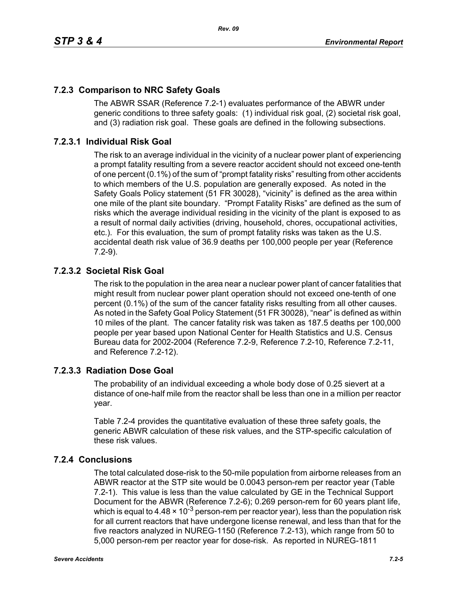# **7.2.3 Comparison to NRC Safety Goals**

The ABWR SSAR (Reference 7.2-1) evaluates performance of the ABWR under generic conditions to three safety goals: (1) individual risk goal, (2) societal risk goal, and (3) radiation risk goal. These goals are defined in the following subsections.

# **7.2.3.1 Individual Risk Goal**

The risk to an average individual in the vicinity of a nuclear power plant of experiencing a prompt fatality resulting from a severe reactor accident should not exceed one-tenth of one percent (0.1%) of the sum of "prompt fatality risks" resulting from other accidents to which members of the U.S. population are generally exposed. As noted in the Safety Goals Policy statement (51 FR 30028), "vicinity" is defined as the area within one mile of the plant site boundary. "Prompt Fatality Risks" are defined as the sum of risks which the average individual residing in the vicinity of the plant is exposed to as a result of normal daily activities (driving, household, chores, occupational activities, etc.). For this evaluation, the sum of prompt fatality risks was taken as the U.S. accidental death risk value of 36.9 deaths per 100,000 people per year (Reference 7.2-9).

## **7.2.3.2 Societal Risk Goal**

The risk to the population in the area near a nuclear power plant of cancer fatalities that might result from nuclear power plant operation should not exceed one-tenth of one percent (0.1%) of the sum of the cancer fatality risks resulting from all other causes. As noted in the Safety Goal Policy Statement (51 FR 30028), "near" is defined as within 10 miles of the plant. The cancer fatality risk was taken as 187.5 deaths per 100,000 people per year based upon National Center for Health Statistics and U.S. Census Bureau data for 2002-2004 (Reference 7.2-9, Reference 7.2-10, Reference 7.2-11, and Reference 7.2-12).

## **7.2.3.3 Radiation Dose Goal**

The probability of an individual exceeding a whole body dose of 0.25 sievert at a distance of one-half mile from the reactor shall be less than one in a million per reactor year.

Table 7.2-4 provides the quantitative evaluation of these three safety goals, the generic ABWR calculation of these risk values, and the STP-specific calculation of these risk values.

## **7.2.4 Conclusions**

The total calculated dose-risk to the 50-mile population from airborne releases from an ABWR reactor at the STP site would be 0.0043 person-rem per reactor year (Table 7.2-1). This value is less than the value calculated by GE in the Technical Support Document for the ABWR (Reference 7.2-6); 0.269 person-rem for 60 years plant life, which is equal to 4.48  $\times$  10<sup>-3</sup> person-rem per reactor year), less than the population risk for all current reactors that have undergone license renewal, and less than that for the five reactors analyzed in NUREG-1150 (Reference 7.2-13), which range from 50 to 5,000 person-rem per reactor year for dose-risk. As reported in NUREG-1811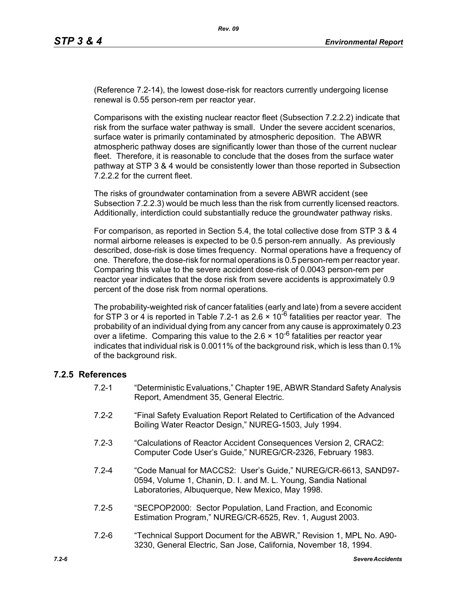(Reference 7.2-14), the lowest dose-risk for reactors currently undergoing license renewal is 0.55 person-rem per reactor year.

Comparisons with the existing nuclear reactor fleet (Subsection 7.2.2.2) indicate that risk from the surface water pathway is small. Under the severe accident scenarios, surface water is primarily contaminated by atmospheric deposition. The ABWR atmospheric pathway doses are significantly lower than those of the current nuclear fleet. Therefore, it is reasonable to conclude that the doses from the surface water pathway at STP 3 & 4 would be consistently lower than those reported in Subsection 7.2.2.2 for the current fleet.

The risks of groundwater contamination from a severe ABWR accident (see Subsection 7.2.2.3) would be much less than the risk from currently licensed reactors. Additionally, interdiction could substantially reduce the groundwater pathway risks.

For comparison, as reported in Section 5.4, the total collective dose from STP 3 & 4 normal airborne releases is expected to be 0.5 person-rem annually. As previously described, dose-risk is dose times frequency. Normal operations have a frequency of one. Therefore, the dose-risk for normal operations is 0.5 person-rem per reactor year. Comparing this value to the severe accident dose-risk of 0.0043 person-rem per reactor year indicates that the dose risk from severe accidents is approximately 0.9 percent of the dose risk from normal operations.

The probability-weighted risk of cancer fatalities (early and late) from a severe accident for STP 3 or 4 is reported in Table 7.2-1 as 2.6  $\times$  10<sup>-6</sup> fatalities per reactor year. The probability of an individual dying from any cancer from any cause is approximately 0.23 over a lifetime. Comparing this value to the  $2.6 \times 10^{-6}$  fatalities per reactor year indicates that individual risk is 0.0011% of the background risk, which is less than 0.1% of the background risk.

#### **7.2.5 References**

- 7.2-1 "Deterministic Evaluations," Chapter 19E, ABWR Standard Safety Analysis Report, Amendment 35, General Electric.
- 7.2-2 "Final Safety Evaluation Report Related to Certification of the Advanced Boiling Water Reactor Design," NUREG-1503, July 1994.
- 7.2-3 "Calculations of Reactor Accident Consequences Version 2, CRAC2: Computer Code User's Guide," NUREG/CR-2326, February 1983.
- 7.2-4 "Code Manual for MACCS2: User's Guide," NUREG/CR-6613, SAND97- 0594, Volume 1, Chanin, D. I. and M. L. Young, Sandia National Laboratories, Albuquerque, New Mexico, May 1998.
- 7.2-5 "SECPOP2000: Sector Population, Land Fraction, and Economic Estimation Program," NUREG/CR-6525, Rev. 1, August 2003.
- 7.2-6 "Technical Support Document for the ABWR," Revision 1, MPL No. A90- 3230, General Electric, San Jose, California, November 18, 1994.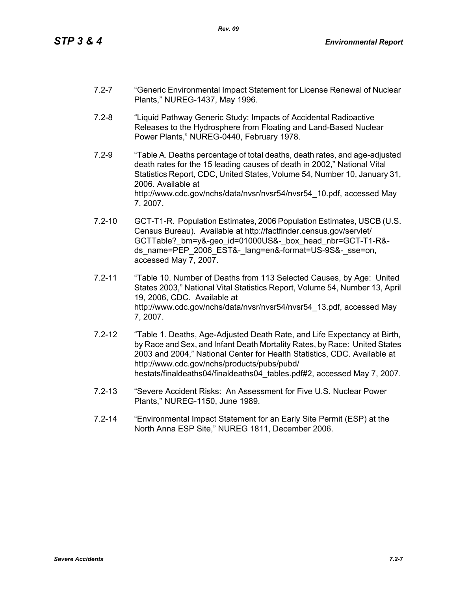- 7.2-7 "Generic Environmental Impact Statement for License Renewal of Nuclear Plants," NUREG-1437, May 1996.
- 7.2-8 "Liquid Pathway Generic Study: Impacts of Accidental Radioactive Releases to the Hydrosphere from Floating and Land-Based Nuclear Power Plants," NUREG-0440, February 1978.
- 7.2-9 "Table A. Deaths percentage of total deaths, death rates, and age-adjusted death rates for the 15 leading causes of death in 2002," National Vital Statistics Report, CDC, United States, Volume 54, Number 10, January 31, 2006. Available at http://www.cdc.gov/nchs/data/nvsr/nvsr54/nvsr54\_10.pdf, accessed May 7, 2007.
- 7.2-10 GCT-T1-R. Population Estimates, 2006 Population Estimates, USCB (U.S. Census Bureau). Available at http://factfinder.census.gov/servlet/ GCTTable? bm=y&-geo\_id=01000US&-\_box\_head\_nbr=GCT-T1-R&ds\_name=PEP\_2006\_EST&-\_lang=en&-format=US-9S&-\_sse=on, accessed May 7, 2007.
- 7.2-11 "Table 10. Number of Deaths from 113 Selected Causes, by Age: United States 2003," National Vital Statistics Report, Volume 54, Number 13, April 19, 2006, CDC. Available at http://www.cdc.gov/nchs/data/nvsr/nvsr54/nvsr54\_13.pdf, accessed May 7, 2007.
- 7.2-12 "Table 1. Deaths, Age-Adjusted Death Rate, and Life Expectancy at Birth, by Race and Sex, and Infant Death Mortality Rates, by Race: United States 2003 and 2004," National Center for Health Statistics, CDC. Available at http://www.cdc.gov/nchs/products/pubs/pubd/ hestats/finaldeaths04/finaldeaths04\_tables.pdf#2, accessed May 7, 2007.
- 7.2-13 "Severe Accident Risks: An Assessment for Five U.S. Nuclear Power Plants," NUREG-1150, June 1989.
- 7.2-14 "Environmental Impact Statement for an Early Site Permit (ESP) at the North Anna ESP Site," NUREG 1811, December 2006.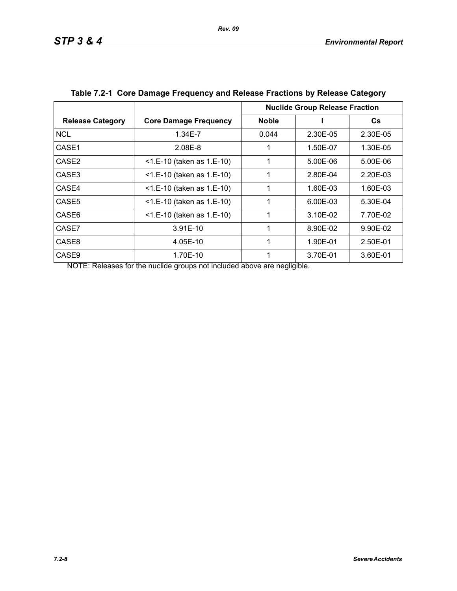|                         |                              | <b>Nuclide Group Release Fraction</b> |          |          |
|-------------------------|------------------------------|---------------------------------------|----------|----------|
| <b>Release Category</b> | <b>Core Damage Frequency</b> | <b>Noble</b>                          |          | Cs.      |
| <b>NCL</b>              | 1.34E-7                      | 0.044                                 | 2.30E-05 | 2.30E-05 |
| CASE1                   | 2.08E-8                      |                                       | 1.50E-07 | 1.30E-05 |
| CASE <sub>2</sub>       | $<$ 1.E-10 (taken as 1.E-10) | 1                                     | 5.00E-06 | 5.00E-06 |
| CASE3                   | $<$ 1.E-10 (taken as 1.E-10) | 1                                     | 2.80E-04 | 2.20E-03 |
| CASE4                   | <1.E-10 (taken as 1.E-10)    | 1                                     | 1.60E-03 | 1.60E-03 |
| CASE <sub>5</sub>       | $<$ 1.E-10 (taken as 1.E-10) |                                       | 6.00E-03 | 5.30E-04 |
| CASE6                   | $<$ 1.E-10 (taken as 1.E-10) | 1                                     | 3.10E-02 | 7.70E-02 |
| CASE7                   | $3.91E-10$                   | 1                                     | 8.90E-02 | 9.90E-02 |
| CASE8                   | 4.05E-10                     | 1                                     | 1.90E-01 | 2.50E-01 |
| CASE <sub>9</sub>       | 1.70E-10                     |                                       | 3.70E-01 | 3.60E-01 |

| Table 7.2-1 Core Damage Frequency and Release Fractions by Release Category |  |
|-----------------------------------------------------------------------------|--|
|                                                                             |  |

NOTE: Releases for the nuclide groups not included above are negligible.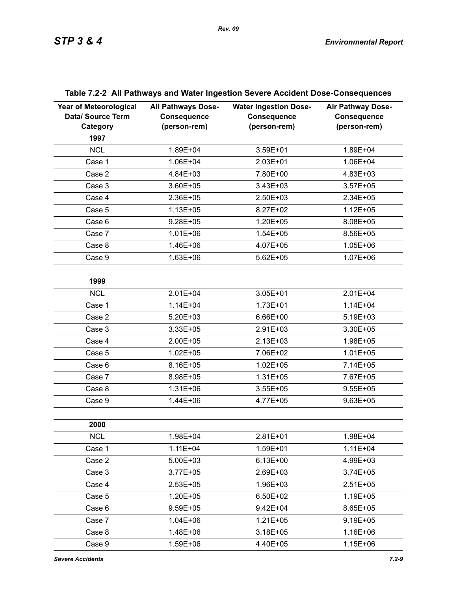| <b>Year of Meteorological</b><br>Data/ Source Term<br>Category | <b>All Pathways Dose-</b><br><b>Consequence</b><br>(person-rem) | <b>Water Ingestion Dose-</b><br><b>Consequence</b><br>(person-rem) | <b>Air Pathway Dose-</b><br><b>Consequence</b><br>(person-rem) |
|----------------------------------------------------------------|-----------------------------------------------------------------|--------------------------------------------------------------------|----------------------------------------------------------------|
| 1997                                                           |                                                                 |                                                                    |                                                                |
| <b>NCL</b>                                                     | 1.89E+04                                                        | 3.59E+01                                                           | 1.89E+04                                                       |
| Case 1                                                         | 1.06E+04                                                        | 2.03E+01                                                           | 1.06E+04                                                       |
| Case 2                                                         | 4.84E+03                                                        | 7.80E+00                                                           | 4.83E+03                                                       |
| Case 3                                                         | 3.60E+05                                                        | 3.43E+03                                                           | $3.57E + 05$                                                   |
| Case 4                                                         | 2.36E+05                                                        | 2.50E+03                                                           | 2.34E+05                                                       |
| Case 5                                                         | $1.13E + 05$                                                    | 8.27E+02                                                           | $1.12E + 05$                                                   |
| Case 6                                                         | $9.28E + 05$                                                    | $1.20E + 05$                                                       | 8.08E+05                                                       |
| Case 7                                                         | $1.01E + 06$                                                    | $1.54E + 05$                                                       | 8.56E+05                                                       |
| Case 8                                                         | 1.46E+06                                                        | 4.07E+05                                                           | $1.05E + 06$                                                   |
| Case 9                                                         | $1.63E + 06$                                                    | $5.62E + 05$                                                       | $1.07E + 06$                                                   |
|                                                                |                                                                 |                                                                    |                                                                |
| 1999                                                           |                                                                 |                                                                    |                                                                |
| <b>NCL</b>                                                     | 2.01E+04                                                        | 3.05E+01                                                           | 2.01E+04                                                       |
| Case 1                                                         | $1.14E + 04$                                                    | $1.73E + 01$                                                       | $1.14E + 04$                                                   |
| Case 2                                                         | $5.20E + 03$                                                    | 6.66E+00                                                           | 5.19E+03                                                       |
| Case 3                                                         | 3.33E+05                                                        | 2.91E+03                                                           | 3.30E+05                                                       |
| Case 4                                                         | 2.00E+05                                                        | $2.13E + 03$                                                       | 1.98E+05                                                       |
| Case 5                                                         | $1.02E + 05$                                                    | 7.06E+02                                                           | $1.01E + 05$                                                   |
| Case 6                                                         | 8.16E+05                                                        | $1.02E + 05$                                                       | 7.14E+05                                                       |
| Case 7                                                         | 8.98E+05                                                        | $1.31E + 05$                                                       | 7.67E+05                                                       |
| Case 8                                                         | $1.31E + 06$                                                    | $3.55E + 05$                                                       | $9.55E + 05$                                                   |
| Case 9                                                         | 1.44E+06                                                        | 4.77E+05                                                           | $9.63E + 05$                                                   |
|                                                                |                                                                 |                                                                    |                                                                |
| 2000                                                           |                                                                 |                                                                    |                                                                |
| <b>NCL</b>                                                     | 1.98E+04                                                        | $2.81E + 01$                                                       | 1.98E+04                                                       |
| Case 1                                                         | $1.11E + 04$                                                    | 1.59E+01                                                           | $1.11E + 04$                                                   |
| Case 2                                                         | $5.00E + 03$                                                    | $6.13E + 00$                                                       | 4.99E+03                                                       |
| Case 3                                                         | $3.77E + 05$                                                    | 2.69E+03                                                           | $3.74E + 05$                                                   |
| Case 4                                                         | $2.53E + 05$                                                    | 1.96E+03                                                           | $2.51E+05$                                                     |
| Case 5                                                         | 1.20E+05                                                        | 6.50E+02                                                           | 1.19E+05                                                       |
| Case 6                                                         | $9.59E + 05$                                                    | $9.42E + 04$                                                       | 8.65E+05                                                       |
| Case 7                                                         | $1.04E + 06$                                                    | $1.21E + 05$                                                       | $9.19E + 05$                                                   |
| Case 8                                                         | 1.48E+06                                                        | $3.18E + 05$                                                       | 1.16E+06                                                       |
| Case 9                                                         | 1.59E+06                                                        | 4.40E+05                                                           | 1.15E+06                                                       |

# **Table 7.2-2 All Pathways and Water Ingestion Severe Accident Dose-Consequences**